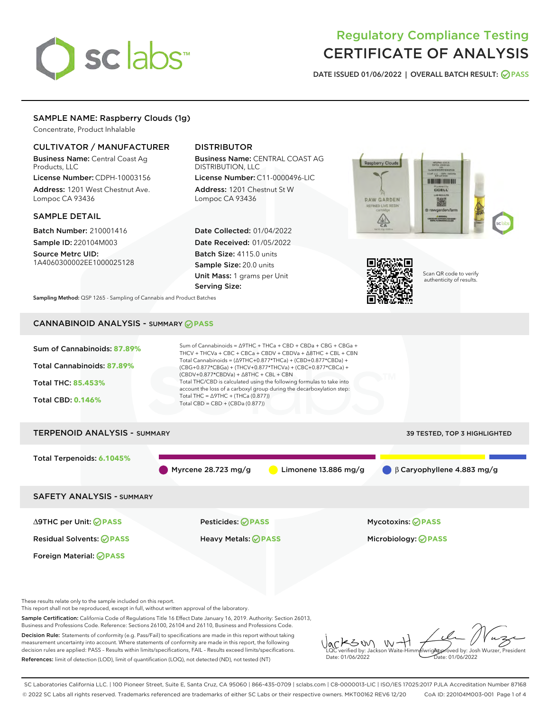# sclabs<sup>\*</sup>

## Regulatory Compliance Testing CERTIFICATE OF ANALYSIS

DATE ISSUED 01/06/2022 | OVERALL BATCH RESULT: @ PASS

#### SAMPLE NAME: Raspberry Clouds (1g)

Concentrate, Product Inhalable

#### CULTIVATOR / MANUFACTURER

Business Name: Central Coast Ag Products, LLC

License Number: CDPH-10003156 Address: 1201 West Chestnut Ave. Lompoc CA 93436

#### SAMPLE DETAIL

Batch Number: 210001416 Sample ID: 220104M003 Source Metrc UID:

1A4060300002EE1000025128

#### DISTRIBUTOR

Business Name: CENTRAL COAST AG DISTRIBUTION, LLC

License Number: C11-0000496-LIC Address: 1201 Chestnut St W Lompoc CA 93436

Date Collected: 01/04/2022 Date Received: 01/05/2022 Batch Size: 4115.0 units Sample Size: 20.0 units Unit Mass: 1 grams per Unit Serving Size:





Scan QR code to verify authenticity of results.

Sampling Method: QSP 1265 - Sampling of Cannabis and Product Batches

### CANNABINOID ANALYSIS - SUMMARY **PASS**



Sample Certification: California Code of Regulations Title 16 Effect Date January 16, 2019. Authority: Section 26013, Business and Professions Code. Reference: Sections 26100, 26104 and 26110, Business and Professions Code.

Decision Rule: Statements of conformity (e.g. Pass/Fail) to specifications are made in this report without taking measurement uncertainty into account. Where statements of conformity are made in this report, the following decision rules are applied: PASS – Results within limits/specifications, FAIL – Results exceed limits/specifications. References: limit of detection (LOD), limit of quantification (LOQ), not detected (ND), not tested (NT)

KSW  $W -$ Approved by: Josh Wurzer, President LQC verified by: Jackson Waite-Himmelwright Date: 01/06/2022 Date: 01/06/2022

SC Laboratories California LLC. | 100 Pioneer Street, Suite E, Santa Cruz, CA 95060 | 866-435-0709 | sclabs.com | C8-0000013-LIC | ISO/IES 17025:2017 PJLA Accreditation Number 87168 © 2022 SC Labs all rights reserved. Trademarks referenced are trademarks of either SC Labs or their respective owners. MKT00162 REV6 12/20 CoA ID: 220104M003-001 Page 1 of 4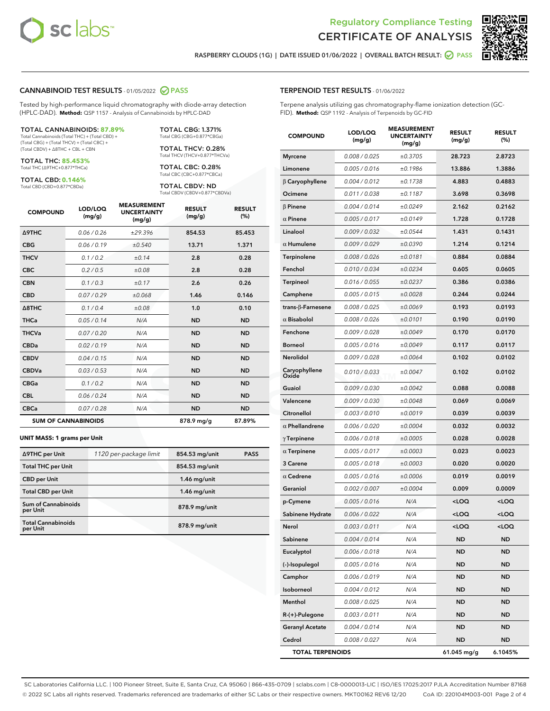



RASPBERRY CLOUDS (1G) | DATE ISSUED 01/06/2022 | OVERALL BATCH RESULT: @ PASS

#### CANNABINOID TEST RESULTS - 01/05/2022 2 PASS

Tested by high-performance liquid chromatography with diode-array detection (HPLC-DAD). **Method:** QSP 1157 - Analysis of Cannabinoids by HPLC-DAD

#### TOTAL CANNABINOIDS: **87.89%**

Total Cannabinoids (Total THC) + (Total CBD) + (Total CBG) + (Total THCV) + (Total CBC) + (Total CBDV) + ∆8THC + CBL + CBN

TOTAL THC: **85.453%** Total THC (∆9THC+0.877\*THCa)

TOTAL CBD: **0.146%**

Total CBD (CBD+0.877\*CBDa)

TOTAL CBG: 1.371% Total CBG (CBG+0.877\*CBGa)

TOTAL THCV: 0.28% Total THCV (THCV+0.877\*THCVa)

TOTAL CBC: 0.28% Total CBC (CBC+0.877\*CBCa)

TOTAL CBDV: ND Total CBDV (CBDV+0.877\*CBDVa)

| <b>COMPOUND</b>            | LOD/LOQ<br>(mg/g) | <b>MEASUREMENT</b><br><b>UNCERTAINTY</b><br>(mg/g) | <b>RESULT</b><br>(mg/g) | <b>RESULT</b><br>(%) |
|----------------------------|-------------------|----------------------------------------------------|-------------------------|----------------------|
| <b>A9THC</b>               | 0.06/0.26         | ±29.396                                            | 854.53                  | 85.453               |
| <b>CBG</b>                 | 0.06/0.19         | ±0.540                                             | 13.71                   | 1.371                |
| <b>THCV</b>                | 0.1/0.2           | ±0.14                                              | 2.8                     | 0.28                 |
| <b>CBC</b>                 | 0.2 / 0.5         | ±0.08                                              | 2.8                     | 0.28                 |
| <b>CBN</b>                 | 0.1/0.3           | ±0.17                                              | 2.6                     | 0.26                 |
| <b>CBD</b>                 | 0.07 / 0.29       | ±0.068                                             | 1.46                    | 0.146                |
| $\triangle$ 8THC           | 0.1/0.4           | ±0.08                                              | 1.0                     | 0.10                 |
| <b>THCa</b>                | 0.05/0.14         | N/A                                                | <b>ND</b>               | <b>ND</b>            |
| <b>THCVa</b>               | 0.07 / 0.20       | N/A                                                | <b>ND</b>               | <b>ND</b>            |
| <b>CBDa</b>                | 0.02/0.19         | N/A                                                | <b>ND</b>               | <b>ND</b>            |
| <b>CBDV</b>                | 0.04 / 0.15       | N/A                                                | <b>ND</b>               | <b>ND</b>            |
| <b>CBDVa</b>               | 0.03/0.53         | N/A                                                | <b>ND</b>               | <b>ND</b>            |
| <b>CBGa</b>                | 0.1/0.2           | N/A                                                | <b>ND</b>               | <b>ND</b>            |
| <b>CBL</b>                 | 0.06 / 0.24       | N/A                                                | <b>ND</b>               | <b>ND</b>            |
| <b>CBCa</b>                | 0.07/0.28         | N/A                                                | <b>ND</b>               | <b>ND</b>            |
| <b>SUM OF CANNABINOIDS</b> |                   |                                                    | 878.9 mg/g              | 87.89%               |

#### **UNIT MASS: 1 grams per Unit**

| ∆9THC per Unit                        | 1120 per-package limit | 854.53 mg/unit | <b>PASS</b> |
|---------------------------------------|------------------------|----------------|-------------|
| <b>Total THC per Unit</b>             |                        | 854.53 mg/unit |             |
| <b>CBD</b> per Unit                   |                        | $1.46$ mg/unit |             |
| <b>Total CBD per Unit</b>             |                        | $1.46$ mg/unit |             |
| Sum of Cannabinoids<br>per Unit       |                        | 878.9 mg/unit  |             |
| <b>Total Cannabinoids</b><br>per Unit |                        | 878.9 mg/unit  |             |

#### TERPENOID TEST RESULTS - 01/06/2022

Terpene analysis utilizing gas chromatography-flame ionization detection (GC-FID). **Method:** QSP 1192 - Analysis of Terpenoids by GC-FID

| <b>COMPOUND</b>          | LOD/LOQ<br>(mg/g) | <b>MEASUREMENT</b><br><b>UNCERTAINTY</b><br>(mg/g) | <b>RESULT</b><br>(mg/g)                          | <b>RESULT</b><br>(%) |
|--------------------------|-------------------|----------------------------------------------------|--------------------------------------------------|----------------------|
| <b>Myrcene</b>           | 0.008 / 0.025     | ±0.3705                                            | 28.723                                           | 2.8723               |
| Limonene                 | 0.005 / 0.016     | ±0.1986                                            | 13.886                                           | 1.3886               |
| $\beta$ Caryophyllene    | 0.004 / 0.012     | ±0.1738                                            | 4.883                                            | 0.4883               |
| Ocimene                  | 0.011 / 0.038     | ±0.1187                                            | 3.698                                            | 0.3698               |
| <b>B</b> Pinene          | 0.004 / 0.014     | ±0.0249                                            | 2.162                                            | 0.2162               |
| $\alpha$ Pinene          | 0.005 / 0.017     | ±0.0149                                            | 1.728                                            | 0.1728               |
| Linalool                 | 0.009 / 0.032     | ±0.0544                                            | 1.431                                            | 0.1431               |
| $\alpha$ Humulene        | 0.009/0.029       | ±0.0390                                            | 1.214                                            | 0.1214               |
| Terpinolene              | 0.008 / 0.026     | ±0.0181                                            | 0.884                                            | 0.0884               |
| Fenchol                  | 0.010 / 0.034     | ±0.0234                                            | 0.605                                            | 0.0605               |
| <b>Terpineol</b>         | 0.016 / 0.055     | ±0.0237                                            | 0.386                                            | 0.0386               |
| Camphene                 | 0.005 / 0.015     | ±0.0028                                            | 0.244                                            | 0.0244               |
| $trans-\beta$ -Farnesene | 0.008 / 0.025     | ±0.0069                                            | 0.193                                            | 0.0193               |
| $\alpha$ Bisabolol       | 0.008 / 0.026     | ±0.0101                                            | 0.190                                            | 0.0190               |
| Fenchone                 | 0.009 / 0.028     | ±0.0049                                            | 0.170                                            | 0.0170               |
| <b>Borneol</b>           | 0.005 / 0.016     | ±0.0049                                            | 0.117                                            | 0.0117               |
| Nerolidol                | 0.009 / 0.028     | ±0.0064                                            | 0.102                                            | 0.0102               |
| Caryophyllene<br>Oxide   | 0.010 / 0.033     | ±0.0047                                            | 0.102                                            | 0.0102               |
| Guaiol                   | 0.009 / 0.030     | ±0.0042                                            | 0.088                                            | 0.0088               |
| Valencene                | 0.009 / 0.030     | ±0.0048                                            | 0.069                                            | 0.0069               |
| Citronellol              | 0.003 / 0.010     | ±0.0019                                            | 0.039                                            | 0.0039               |
| $\alpha$ Phellandrene    | 0.006 / 0.020     | ±0.0004                                            | 0.032                                            | 0.0032               |
| $\gamma$ Terpinene       | 0.006 / 0.018     | ±0.0005                                            | 0.028                                            | 0.0028               |
| $\alpha$ Terpinene       | 0.005 / 0.017     | ±0.0003                                            | 0.023                                            | 0.0023               |
| <b>3 Carene</b>          | 0.005 / 0.018     | ±0.0003                                            | 0.020                                            | 0.0020               |
| $\alpha$ Cedrene         | 0.005 / 0.016     | ±0.0006                                            | 0.019                                            | 0.0019               |
| Geraniol                 | 0.002 / 0.007     | ±0.0004                                            | 0.009                                            | 0.0009               |
| p-Cymene                 | 0.005 / 0.016     | N/A                                                | <loq< th=""><th><loq< th=""></loq<></th></loq<>  | <loq< th=""></loq<>  |
| Sabinene Hydrate         | 0.006 / 0.022     | N/A                                                | <loq< th=""><th><loq< th=""></loq<></th></loq<>  | <loq< th=""></loq<>  |
| Nerol                    | 0.003 / 0.011     | N/A                                                | <loq< th=""><th><math>&lt;</math>LOQ</th></loq<> | $<$ LOQ              |
| Sabinene                 | 0.004 / 0.014     | N/A                                                | ND                                               | ND                   |
| Eucalyptol               | 0.006 / 0.018     | N/A                                                | ND                                               | ND                   |
| (-)-Isopulegol           | 0.005 / 0.016     | N/A                                                | <b>ND</b>                                        | ND                   |
| Camphor                  | 0.006 / 0.019     | N/A                                                | ND                                               | ND                   |
| Isoborneol               | 0.004 / 0.012     | N/A                                                | ND                                               | ND                   |
| Menthol                  | 0.008 / 0.025     | N/A                                                | <b>ND</b>                                        | ND                   |
| $R-(+)$ -Pulegone        | 0.003 / 0.011     | N/A                                                | ND                                               | ND                   |
| <b>Geranyl Acetate</b>   | 0.004 / 0.014     | N/A                                                | ND                                               | ND                   |
| Cedrol                   | 0.008 / 0.027     | N/A                                                | <b>ND</b>                                        | ND                   |
| <b>TOTAL TERPENOIDS</b>  |                   |                                                    | 61.045 mg/g                                      | 6.1045%              |

SC Laboratories California LLC. | 100 Pioneer Street, Suite E, Santa Cruz, CA 95060 | 866-435-0709 | sclabs.com | C8-0000013-LIC | ISO/IES 17025:2017 PJLA Accreditation Number 87168 © 2022 SC Labs all rights reserved. Trademarks referenced are trademarks of either SC Labs or their respective owners. MKT00162 REV6 12/20 CoA ID: 220104M003-001 Page 2 of 4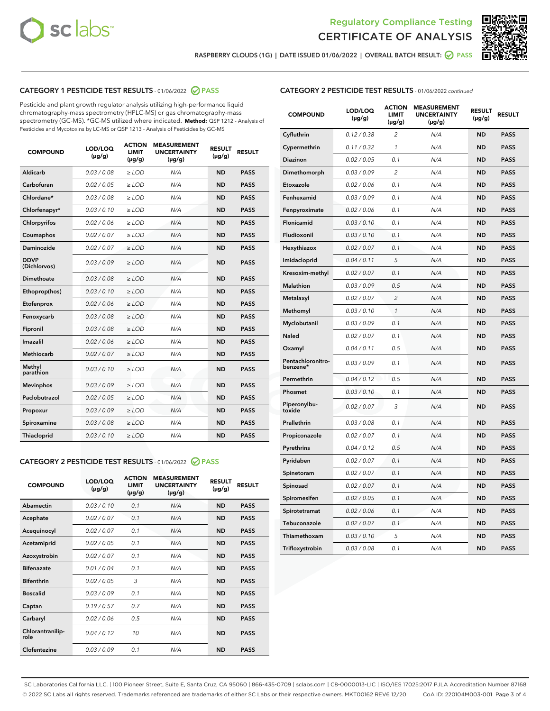



RASPBERRY CLOUDS (1G) | DATE ISSUED 01/06/2022 | OVERALL BATCH RESULT: @ PASS

#### CATEGORY 1 PESTICIDE TEST RESULTS - 01/06/2022 2 PASS

Pesticide and plant growth regulator analysis utilizing high-performance liquid chromatography-mass spectrometry (HPLC-MS) or gas chromatography-mass spectrometry (GC-MS). \*GC-MS utilized where indicated. **Method:** QSP 1212 - Analysis of Pesticides and Mycotoxins by LC-MS or QSP 1213 - Analysis of Pesticides by GC-MS

| <b>Aldicarb</b><br>0.03 / 0.08<br><b>ND</b><br>$\ge$ LOD<br>N/A<br><b>PASS</b><br>Carbofuran<br>0.02/0.05<br>$\ge$ LOD<br>N/A<br><b>ND</b><br><b>PASS</b><br>Chlordane*<br>0.03 / 0.08<br><b>ND</b><br>$>$ LOD<br>N/A<br><b>PASS</b><br>0.03/0.10<br><b>ND</b><br><b>PASS</b><br>Chlorfenapyr*<br>$\ge$ LOD<br>N/A<br>0.02 / 0.06<br>N/A<br><b>ND</b><br><b>PASS</b><br>Chlorpyrifos<br>$\ge$ LOD<br>0.02 / 0.07<br>N/A<br><b>ND</b><br><b>PASS</b><br>Coumaphos<br>$>$ LOD<br>Daminozide<br>0.02 / 0.07<br>$\ge$ LOD<br>N/A<br><b>ND</b><br><b>PASS</b><br><b>DDVP</b><br>0.03/0.09<br>$\ge$ LOD<br>N/A<br><b>ND</b><br><b>PASS</b><br>(Dichlorvos)<br>Dimethoate<br><b>ND</b><br><b>PASS</b><br>0.03 / 0.08<br>$>$ LOD<br>N/A<br>Ethoprop(hos)<br>0.03/0.10<br>$\ge$ LOD<br>N/A<br><b>ND</b><br><b>PASS</b><br>0.02/0.06<br>$\ge$ LOD<br>N/A<br><b>ND</b><br><b>PASS</b><br>Etofenprox<br>Fenoxycarb<br>0.03 / 0.08<br>$>$ LOD<br>N/A<br><b>ND</b><br><b>PASS</b><br>0.03 / 0.08<br><b>ND</b><br><b>PASS</b><br>Fipronil<br>$\ge$ LOD<br>N/A<br>Imazalil<br>0.02 / 0.06<br>$>$ LOD<br>N/A<br><b>ND</b><br><b>PASS</b><br>0.02 / 0.07<br>Methiocarb<br>N/A<br><b>ND</b><br>$>$ LOD<br><b>PASS</b><br>Methyl<br>0.03/0.10<br>$\ge$ LOD<br>N/A<br><b>ND</b><br><b>PASS</b><br>parathion<br>0.03/0.09<br>$\ge$ LOD<br>N/A<br><b>ND</b><br><b>PASS</b><br><b>Mevinphos</b><br>Paclobutrazol<br>0.02 / 0.05<br>$\ge$ LOD<br>N/A<br><b>ND</b><br><b>PASS</b><br>0.03/0.09<br>N/A<br>$\ge$ LOD<br><b>ND</b><br><b>PASS</b><br>Propoxur<br>0.03 / 0.08<br><b>ND</b><br><b>PASS</b><br>Spiroxamine<br>$\ge$ LOD<br>N/A<br><b>PASS</b><br>Thiacloprid<br>0.03/0.10<br>$\ge$ LOD<br>N/A<br><b>ND</b> | <b>COMPOUND</b> | LOD/LOQ<br>$(\mu g/g)$ | <b>ACTION</b><br>LIMIT<br>$(\mu g/g)$ | <b>MEASUREMENT</b><br><b>UNCERTAINTY</b><br>$(\mu g/g)$ | <b>RESULT</b><br>$(\mu g/g)$ | <b>RESULT</b> |
|--------------------------------------------------------------------------------------------------------------------------------------------------------------------------------------------------------------------------------------------------------------------------------------------------------------------------------------------------------------------------------------------------------------------------------------------------------------------------------------------------------------------------------------------------------------------------------------------------------------------------------------------------------------------------------------------------------------------------------------------------------------------------------------------------------------------------------------------------------------------------------------------------------------------------------------------------------------------------------------------------------------------------------------------------------------------------------------------------------------------------------------------------------------------------------------------------------------------------------------------------------------------------------------------------------------------------------------------------------------------------------------------------------------------------------------------------------------------------------------------------------------------------------------------------------------------------------------------------------------------------------------------------------------------------------------------|-----------------|------------------------|---------------------------------------|---------------------------------------------------------|------------------------------|---------------|
|                                                                                                                                                                                                                                                                                                                                                                                                                                                                                                                                                                                                                                                                                                                                                                                                                                                                                                                                                                                                                                                                                                                                                                                                                                                                                                                                                                                                                                                                                                                                                                                                                                                                                            |                 |                        |                                       |                                                         |                              |               |
|                                                                                                                                                                                                                                                                                                                                                                                                                                                                                                                                                                                                                                                                                                                                                                                                                                                                                                                                                                                                                                                                                                                                                                                                                                                                                                                                                                                                                                                                                                                                                                                                                                                                                            |                 |                        |                                       |                                                         |                              |               |
|                                                                                                                                                                                                                                                                                                                                                                                                                                                                                                                                                                                                                                                                                                                                                                                                                                                                                                                                                                                                                                                                                                                                                                                                                                                                                                                                                                                                                                                                                                                                                                                                                                                                                            |                 |                        |                                       |                                                         |                              |               |
|                                                                                                                                                                                                                                                                                                                                                                                                                                                                                                                                                                                                                                                                                                                                                                                                                                                                                                                                                                                                                                                                                                                                                                                                                                                                                                                                                                                                                                                                                                                                                                                                                                                                                            |                 |                        |                                       |                                                         |                              |               |
|                                                                                                                                                                                                                                                                                                                                                                                                                                                                                                                                                                                                                                                                                                                                                                                                                                                                                                                                                                                                                                                                                                                                                                                                                                                                                                                                                                                                                                                                                                                                                                                                                                                                                            |                 |                        |                                       |                                                         |                              |               |
|                                                                                                                                                                                                                                                                                                                                                                                                                                                                                                                                                                                                                                                                                                                                                                                                                                                                                                                                                                                                                                                                                                                                                                                                                                                                                                                                                                                                                                                                                                                                                                                                                                                                                            |                 |                        |                                       |                                                         |                              |               |
|                                                                                                                                                                                                                                                                                                                                                                                                                                                                                                                                                                                                                                                                                                                                                                                                                                                                                                                                                                                                                                                                                                                                                                                                                                                                                                                                                                                                                                                                                                                                                                                                                                                                                            |                 |                        |                                       |                                                         |                              |               |
|                                                                                                                                                                                                                                                                                                                                                                                                                                                                                                                                                                                                                                                                                                                                                                                                                                                                                                                                                                                                                                                                                                                                                                                                                                                                                                                                                                                                                                                                                                                                                                                                                                                                                            |                 |                        |                                       |                                                         |                              |               |
|                                                                                                                                                                                                                                                                                                                                                                                                                                                                                                                                                                                                                                                                                                                                                                                                                                                                                                                                                                                                                                                                                                                                                                                                                                                                                                                                                                                                                                                                                                                                                                                                                                                                                            |                 |                        |                                       |                                                         |                              |               |
|                                                                                                                                                                                                                                                                                                                                                                                                                                                                                                                                                                                                                                                                                                                                                                                                                                                                                                                                                                                                                                                                                                                                                                                                                                                                                                                                                                                                                                                                                                                                                                                                                                                                                            |                 |                        |                                       |                                                         |                              |               |
|                                                                                                                                                                                                                                                                                                                                                                                                                                                                                                                                                                                                                                                                                                                                                                                                                                                                                                                                                                                                                                                                                                                                                                                                                                                                                                                                                                                                                                                                                                                                                                                                                                                                                            |                 |                        |                                       |                                                         |                              |               |
|                                                                                                                                                                                                                                                                                                                                                                                                                                                                                                                                                                                                                                                                                                                                                                                                                                                                                                                                                                                                                                                                                                                                                                                                                                                                                                                                                                                                                                                                                                                                                                                                                                                                                            |                 |                        |                                       |                                                         |                              |               |
|                                                                                                                                                                                                                                                                                                                                                                                                                                                                                                                                                                                                                                                                                                                                                                                                                                                                                                                                                                                                                                                                                                                                                                                                                                                                                                                                                                                                                                                                                                                                                                                                                                                                                            |                 |                        |                                       |                                                         |                              |               |
|                                                                                                                                                                                                                                                                                                                                                                                                                                                                                                                                                                                                                                                                                                                                                                                                                                                                                                                                                                                                                                                                                                                                                                                                                                                                                                                                                                                                                                                                                                                                                                                                                                                                                            |                 |                        |                                       |                                                         |                              |               |
|                                                                                                                                                                                                                                                                                                                                                                                                                                                                                                                                                                                                                                                                                                                                                                                                                                                                                                                                                                                                                                                                                                                                                                                                                                                                                                                                                                                                                                                                                                                                                                                                                                                                                            |                 |                        |                                       |                                                         |                              |               |
|                                                                                                                                                                                                                                                                                                                                                                                                                                                                                                                                                                                                                                                                                                                                                                                                                                                                                                                                                                                                                                                                                                                                                                                                                                                                                                                                                                                                                                                                                                                                                                                                                                                                                            |                 |                        |                                       |                                                         |                              |               |
|                                                                                                                                                                                                                                                                                                                                                                                                                                                                                                                                                                                                                                                                                                                                                                                                                                                                                                                                                                                                                                                                                                                                                                                                                                                                                                                                                                                                                                                                                                                                                                                                                                                                                            |                 |                        |                                       |                                                         |                              |               |
|                                                                                                                                                                                                                                                                                                                                                                                                                                                                                                                                                                                                                                                                                                                                                                                                                                                                                                                                                                                                                                                                                                                                                                                                                                                                                                                                                                                                                                                                                                                                                                                                                                                                                            |                 |                        |                                       |                                                         |                              |               |
|                                                                                                                                                                                                                                                                                                                                                                                                                                                                                                                                                                                                                                                                                                                                                                                                                                                                                                                                                                                                                                                                                                                                                                                                                                                                                                                                                                                                                                                                                                                                                                                                                                                                                            |                 |                        |                                       |                                                         |                              |               |
|                                                                                                                                                                                                                                                                                                                                                                                                                                                                                                                                                                                                                                                                                                                                                                                                                                                                                                                                                                                                                                                                                                                                                                                                                                                                                                                                                                                                                                                                                                                                                                                                                                                                                            |                 |                        |                                       |                                                         |                              |               |
|                                                                                                                                                                                                                                                                                                                                                                                                                                                                                                                                                                                                                                                                                                                                                                                                                                                                                                                                                                                                                                                                                                                                                                                                                                                                                                                                                                                                                                                                                                                                                                                                                                                                                            |                 |                        |                                       |                                                         |                              |               |

#### CATEGORY 2 PESTICIDE TEST RESULTS - 01/06/2022 2 PASS

| <b>COMPOUND</b>          | LOD/LOO<br>$(\mu g/g)$ | <b>ACTION</b><br>LIMIT<br>$(\mu g/g)$ | <b>MEASUREMENT</b><br><b>UNCERTAINTY</b><br>$(\mu g/g)$ | <b>RESULT</b><br>$(\mu g/g)$ | <b>RESULT</b> |  |
|--------------------------|------------------------|---------------------------------------|---------------------------------------------------------|------------------------------|---------------|--|
| Abamectin                | 0.03/0.10              | 0.1                                   | N/A                                                     | <b>ND</b>                    | <b>PASS</b>   |  |
| Acephate                 | 0.02/0.07              | 0.1                                   | N/A                                                     | <b>ND</b>                    | <b>PASS</b>   |  |
| Acequinocyl              | 0.02/0.07              | 0.1                                   | N/A                                                     | <b>ND</b>                    | <b>PASS</b>   |  |
| Acetamiprid              | 0.02 / 0.05            | 0.1                                   | N/A                                                     | <b>ND</b>                    | <b>PASS</b>   |  |
| Azoxystrobin             | 0.02/0.07              | 0.1                                   | N/A                                                     | <b>ND</b>                    | <b>PASS</b>   |  |
| <b>Bifenazate</b>        | 0.01 / 0.04            | 0.1                                   | N/A                                                     | <b>ND</b>                    | <b>PASS</b>   |  |
| <b>Bifenthrin</b>        | 0.02 / 0.05            | 3                                     | N/A                                                     | <b>ND</b>                    | <b>PASS</b>   |  |
| <b>Boscalid</b>          | 0.03/0.09              | 0.1                                   | N/A                                                     | <b>ND</b>                    | <b>PASS</b>   |  |
| Captan                   | 0.19/0.57              | 0.7                                   | N/A                                                     | <b>ND</b>                    | <b>PASS</b>   |  |
| Carbaryl                 | 0.02/0.06              | 0.5                                   | N/A                                                     | <b>ND</b>                    | <b>PASS</b>   |  |
| Chlorantranilip-<br>role | 0.04/0.12              | 10                                    | N/A                                                     | <b>ND</b>                    | <b>PASS</b>   |  |
| Clofentezine             | 0.03/0.09              | 0.1                                   | N/A                                                     | <b>ND</b>                    | <b>PASS</b>   |  |

| <b>CATEGORY 2 PESTICIDE TEST RESULTS</b> - 01/06/2022 continued |  |  |
|-----------------------------------------------------------------|--|--|
|                                                                 |  |  |

| <b>COMPOUND</b>               | LOD/LOQ<br>(µg/g) | <b>ACTION</b><br><b>LIMIT</b><br>(µg/g) | <b>MEASUREMENT</b><br><b>UNCERTAINTY</b><br>$(\mu g/g)$ | <b>RESULT</b><br>(µg/g) | <b>RESULT</b> |
|-------------------------------|-------------------|-----------------------------------------|---------------------------------------------------------|-------------------------|---------------|
| Cyfluthrin                    | 0.12 / 0.38       | $\overline{c}$                          | N/A                                                     | <b>ND</b>               | <b>PASS</b>   |
| Cypermethrin                  | 0.11 / 0.32       | $\mathcal{I}$                           | N/A                                                     | <b>ND</b>               | <b>PASS</b>   |
| <b>Diazinon</b>               | 0.02 / 0.05       | 0.1                                     | N/A                                                     | <b>ND</b>               | <b>PASS</b>   |
| Dimethomorph                  | 0.03 / 0.09       | 2                                       | N/A                                                     | <b>ND</b>               | <b>PASS</b>   |
| Etoxazole                     | 0.02 / 0.06       | 0.1                                     | N/A                                                     | <b>ND</b>               | <b>PASS</b>   |
| Fenhexamid                    | 0.03 / 0.09       | 0.1                                     | N/A                                                     | <b>ND</b>               | <b>PASS</b>   |
| Fenpyroximate                 | 0.02 / 0.06       | 0.1                                     | N/A                                                     | <b>ND</b>               | <b>PASS</b>   |
| Flonicamid                    | 0.03 / 0.10       | 0.1                                     | N/A                                                     | <b>ND</b>               | <b>PASS</b>   |
| Fludioxonil                   | 0.03/0.10         | 0.1                                     | N/A                                                     | <b>ND</b>               | <b>PASS</b>   |
| Hexythiazox                   | 0.02 / 0.07       | 0.1                                     | N/A                                                     | <b>ND</b>               | <b>PASS</b>   |
| Imidacloprid                  | 0.04 / 0.11       | 5                                       | N/A                                                     | <b>ND</b>               | <b>PASS</b>   |
| Kresoxim-methyl               | 0.02 / 0.07       | 0.1                                     | N/A                                                     | <b>ND</b>               | <b>PASS</b>   |
| <b>Malathion</b>              | 0.03 / 0.09       | 0.5                                     | N/A                                                     | <b>ND</b>               | <b>PASS</b>   |
| Metalaxyl                     | 0.02 / 0.07       | $\overline{c}$                          | N/A                                                     | <b>ND</b>               | <b>PASS</b>   |
| Methomyl                      | 0.03 / 0.10       | 1                                       | N/A                                                     | <b>ND</b>               | <b>PASS</b>   |
| Myclobutanil                  | 0.03 / 0.09       | 0.1                                     | N/A                                                     | <b>ND</b>               | <b>PASS</b>   |
| <b>Naled</b>                  | 0.02 / 0.07       | 0.1                                     | N/A                                                     | <b>ND</b>               | <b>PASS</b>   |
| Oxamyl                        | 0.04 / 0.11       | 0.5                                     | N/A                                                     | <b>ND</b>               | <b>PASS</b>   |
| Pentachloronitro-<br>benzene* | 0.03 / 0.09       | 0.1                                     | N/A                                                     | <b>ND</b>               | <b>PASS</b>   |
| Permethrin                    | 0.04 / 0.12       | 0.5                                     | N/A                                                     | <b>ND</b>               | <b>PASS</b>   |
| Phosmet                       | 0.03 / 0.10       | 0.1                                     | N/A                                                     | <b>ND</b>               | <b>PASS</b>   |
| Piperonylbu-<br>toxide        | 0.02 / 0.07       | 3                                       | N/A                                                     | <b>ND</b>               | <b>PASS</b>   |
| Prallethrin                   | 0.03 / 0.08       | 0.1                                     | N/A                                                     | <b>ND</b>               | <b>PASS</b>   |
| Propiconazole                 | 0.02 / 0.07       | 0.1                                     | N/A                                                     | <b>ND</b>               | <b>PASS</b>   |
| Pyrethrins                    | 0.04 / 0.12       | 0.5                                     | N/A                                                     | <b>ND</b>               | <b>PASS</b>   |
| Pyridaben                     | 0.02 / 0.07       | 0.1                                     | N/A                                                     | <b>ND</b>               | <b>PASS</b>   |
| Spinetoram                    | 0.02 / 0.07       | 0.1                                     | N/A                                                     | <b>ND</b>               | <b>PASS</b>   |
| Spinosad                      | 0.02 / 0.07       | 0.1                                     | N/A                                                     | <b>ND</b>               | <b>PASS</b>   |
| Spiromesifen                  | 0.02 / 0.05       | 0.1                                     | N/A                                                     | <b>ND</b>               | <b>PASS</b>   |
| Spirotetramat                 | 0.02 / 0.06       | 0.1                                     | N/A                                                     | <b>ND</b>               | <b>PASS</b>   |
| Tebuconazole                  | 0.02 / 0.07       | 0.1                                     | N/A                                                     | <b>ND</b>               | <b>PASS</b>   |
| Thiamethoxam                  | 0.03 / 0.10       | 5                                       | N/A                                                     | <b>ND</b>               | <b>PASS</b>   |
| Trifloxystrobin               | 0.03 / 0.08       | 0.1                                     | N/A                                                     | <b>ND</b>               | <b>PASS</b>   |

SC Laboratories California LLC. | 100 Pioneer Street, Suite E, Santa Cruz, CA 95060 | 866-435-0709 | sclabs.com | C8-0000013-LIC | ISO/IES 17025:2017 PJLA Accreditation Number 87168 © 2022 SC Labs all rights reserved. Trademarks referenced are trademarks of either SC Labs or their respective owners. MKT00162 REV6 12/20 CoA ID: 220104M003-001 Page 3 of 4